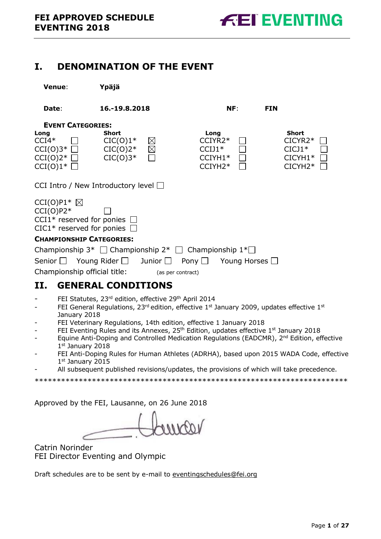# <span id="page-0-0"></span>**I. DENOMINATION OF THE EVENT**

| Venue:                                                                                             | Ypäjä                                                   |                            |                                                                             |                                                                          |
|----------------------------------------------------------------------------------------------------|---------------------------------------------------------|----------------------------|-----------------------------------------------------------------------------|--------------------------------------------------------------------------|
| Date:                                                                                              | 16.-19.8.2018                                           |                            | NF:                                                                         | <b>FIN</b>                                                               |
| <b>EVENT CATEGORIES:</b>                                                                           |                                                         |                            |                                                                             |                                                                          |
| Long<br>$CCI4*$<br>$CCI(0)3^{\ast}$ $\Box$<br>$CCI(0)2^{\ast}$<br>$CCI(0)1^{\ast}$                 | <b>Short</b><br>$CIC(0)1*$<br>$CIC(0)2^*$<br>$CIC(0)3*$ | $\boxtimes$<br>$\boxtimes$ | Long<br>CCIYR2*<br>$CCIJ1*$<br>$CCIYH1*$<br>$CCIYH2*$                       | <b>Short</b><br>CICYR2*<br>$CICI1*$<br>$CICYH1*$<br>CICYH <sub>2</sub> * |
| CCI Intro / New Introductory level $\Box$                                                          |                                                         |                            |                                                                             |                                                                          |
| $CCI(O)P1*$<br>$CCI(O)P2*$<br>CCI1* reserved for ponies $\Box$<br>CIC1* reserved for ponies $\Box$ |                                                         |                            |                                                                             |                                                                          |
| <b>CHAMPIONSHIP CATEGORIES:</b>                                                                    |                                                         |                            |                                                                             |                                                                          |
|                                                                                                    |                                                         |                            | Championship $3^*$ $\Box$ Championship $2^*$ $\Box$ Championship $1^* \Box$ |                                                                          |
| Senior $\Box$ Young Rider $\Box$ Junior $\Box$ Pony $\Box$                                         |                                                         |                            | Young Horses $\Box$                                                         |                                                                          |
| Championship official title:                                                                       |                                                         | (as per contract)          |                                                                             |                                                                          |
| II.                                                                                                | <b>GENERAL CONDITIONS</b>                               |                            |                                                                             |                                                                          |

- <span id="page-0-1"></span>- FEI Statutes, 23<sup>rd</sup> edition, effective 29<sup>th</sup> April 2014
- FEI General Regulations, 23<sup>rd</sup> edition, effective 1<sup>st</sup> January 2009, updates effective 1<sup>st</sup> January 2018
- FEI Veterinary Regulations, 14th edition, effective 1 January 2018
- FEI Eventing Rules and its Annexes, 25<sup>th</sup> Edition, updates effective 1<sup>st</sup> January 2018
- Equine Anti-Doping and Controlled Medication Regulations (EADCMR), 2<sup>nd</sup> Edition, effective 1st January 2018
- FEI Anti-Doping Rules for Human Athletes (ADRHA), based upon 2015 WADA Code, effective 1st January 2015
	- All subsequent published revisions/updates, the provisions of which will take precedence.

\*\*\*\*\*\*\*\*\*\*\*\*\*\*\*\*\*\*\*\*\*\*\*\*\*\*\*\*\*\*\*\*\*\*\*\*\*\*\*\*\*\*\*\*\*\*\*\*\*\*\*\*\*\*\*\*\*\*\*\*\*\*\*\*\*\*\*\*\*\*\*

Approved by the FEI, Lausanne, on 26 June 2018

Catrin Norinder FEI Director Eventing and Olympic

Draft schedules are to be sent by e-mail to [eventingschedules@fei.org](mailto:eventingschedules@fei.org)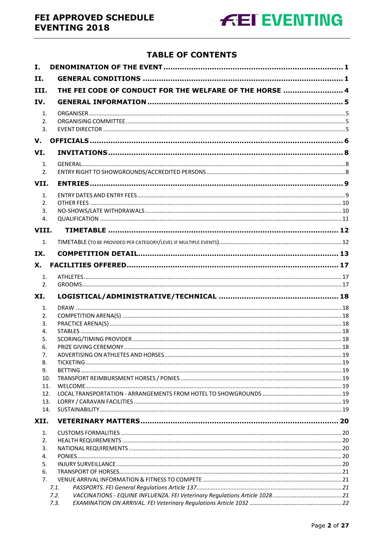

# **TABLE OF CONTENTS**

| I.             |                                                         |  |  |  |  |  |  |
|----------------|---------------------------------------------------------|--|--|--|--|--|--|
| II.            |                                                         |  |  |  |  |  |  |
| III.           | THE FEI CODE OF CONDUCT FOR THE WELFARE OF THE HORSE  4 |  |  |  |  |  |  |
| IV.            |                                                         |  |  |  |  |  |  |
| $\mathbf{1}$ . |                                                         |  |  |  |  |  |  |
| 2.             |                                                         |  |  |  |  |  |  |
| 3.             |                                                         |  |  |  |  |  |  |
| V.             |                                                         |  |  |  |  |  |  |
| VI.            |                                                         |  |  |  |  |  |  |
| 1.             |                                                         |  |  |  |  |  |  |
| 2.             |                                                         |  |  |  |  |  |  |
| VII.           |                                                         |  |  |  |  |  |  |
| 1.             |                                                         |  |  |  |  |  |  |
| 2.             |                                                         |  |  |  |  |  |  |
| 3.             |                                                         |  |  |  |  |  |  |
| 4.             |                                                         |  |  |  |  |  |  |
| VIII.          |                                                         |  |  |  |  |  |  |
| $\mathbf{1}$ . |                                                         |  |  |  |  |  |  |
| IX.            |                                                         |  |  |  |  |  |  |
| Х.             |                                                         |  |  |  |  |  |  |
| 1.             |                                                         |  |  |  |  |  |  |
| 2.             |                                                         |  |  |  |  |  |  |
| XI.            |                                                         |  |  |  |  |  |  |
| 1.             |                                                         |  |  |  |  |  |  |
| 2.             |                                                         |  |  |  |  |  |  |
| 3.             |                                                         |  |  |  |  |  |  |
| 4.             |                                                         |  |  |  |  |  |  |
| 5.             |                                                         |  |  |  |  |  |  |
| 6.             |                                                         |  |  |  |  |  |  |
| 7.             |                                                         |  |  |  |  |  |  |
| 8.             |                                                         |  |  |  |  |  |  |
| 9.             |                                                         |  |  |  |  |  |  |
| 10.            |                                                         |  |  |  |  |  |  |
| 11.            |                                                         |  |  |  |  |  |  |
| 12.            |                                                         |  |  |  |  |  |  |
| 13.            |                                                         |  |  |  |  |  |  |
| 14.            |                                                         |  |  |  |  |  |  |
| XII.           |                                                         |  |  |  |  |  |  |
| 1.             |                                                         |  |  |  |  |  |  |
| 2.             |                                                         |  |  |  |  |  |  |
| 3.             |                                                         |  |  |  |  |  |  |
| 4.             |                                                         |  |  |  |  |  |  |
| 5.             |                                                         |  |  |  |  |  |  |
| 6.             |                                                         |  |  |  |  |  |  |
| 7.             |                                                         |  |  |  |  |  |  |
|                | 7.1.                                                    |  |  |  |  |  |  |
|                | 7.2.<br>7.3.                                            |  |  |  |  |  |  |
|                |                                                         |  |  |  |  |  |  |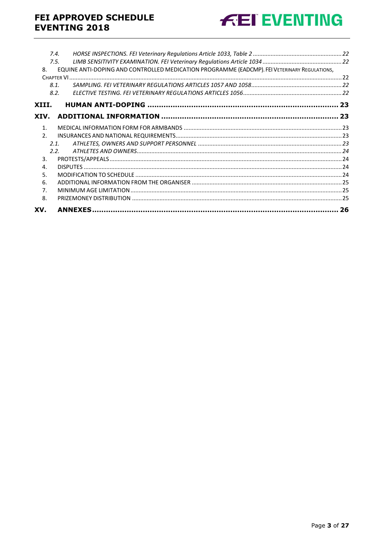# FEI APPROVED SCHEDULE **EVENTING 2018**



|                | 7.4. |                                                                                              |  |
|----------------|------|----------------------------------------------------------------------------------------------|--|
|                | 7.5. |                                                                                              |  |
| 8.             |      | EQUINE ANTI-DOPING AND CONTROLLED MEDICATION PROGRAMME (EADCMP). FEI VETERINARY REGULATIONS, |  |
|                |      |                                                                                              |  |
|                | 8.1. |                                                                                              |  |
|                | 8.2. |                                                                                              |  |
| XIII.          |      |                                                                                              |  |
| XIV.           |      |                                                                                              |  |
| 1.             |      |                                                                                              |  |
| 2.             |      |                                                                                              |  |
|                | 2.1. |                                                                                              |  |
|                | 2.2. |                                                                                              |  |
| 3.             |      |                                                                                              |  |
| 4.             |      |                                                                                              |  |
| 5.             |      |                                                                                              |  |
| 6.             |      |                                                                                              |  |
| 7 <sub>1</sub> |      |                                                                                              |  |
| 8.             |      |                                                                                              |  |
| XV.            |      |                                                                                              |  |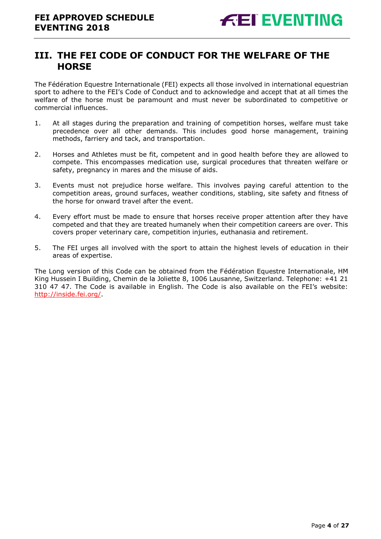# <span id="page-3-0"></span>**III. THE FEI CODE OF CONDUCT FOR THE WELFARE OF THE HORSE**

The Fédération Equestre Internationale (FEI) expects all those involved in international equestrian sport to adhere to the FEI's Code of Conduct and to acknowledge and accept that at all times the welfare of the horse must be paramount and must never be subordinated to competitive or commercial influences.

- 1. At all stages during the preparation and training of competition horses, welfare must take precedence over all other demands. This includes good horse management, training methods, farriery and tack, and transportation.
- 2. Horses and Athletes must be fit, competent and in good health before they are allowed to compete. This encompasses medication use, surgical procedures that threaten welfare or safety, pregnancy in mares and the misuse of aids.
- 3. Events must not prejudice horse welfare. This involves paying careful attention to the competition areas, ground surfaces, weather conditions, stabling, site safety and fitness of the horse for onward travel after the event.
- 4. Every effort must be made to ensure that horses receive proper attention after they have competed and that they are treated humanely when their competition careers are over. This covers proper veterinary care, competition injuries, euthanasia and retirement.
- 5. The FEI urges all involved with the sport to attain the highest levels of education in their areas of expertise.

The Long version of this Code can be obtained from the Fédération Equestre Internationale, HM King Hussein I Building, Chemin de la Joliette 8, 1006 Lausanne, Switzerland. Telephone: +41 21 310 47 47. The Code is available in English. The Code is also available on the FEI's website: [http://inside.fei.org/.](http://inside.fei.org/)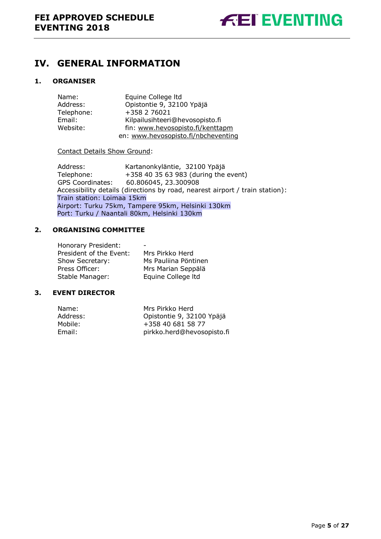# <span id="page-4-0"></span>**IV. GENERAL INFORMATION**

### <span id="page-4-1"></span>**1. ORGANISER**

| Name:      | Equine College Itd                  |
|------------|-------------------------------------|
| Address:   | Opistontie 9, 32100 Ypäjä           |
| Telephone: | +358 2 76021                        |
| Email:     | Kilpailusihteeri@hevosopisto.fi     |
| Website:   | fin: www.hevosopisto.fi/kenttapm    |
|            | en: www.hevosopisto.fi/nbcheventing |

#### Contact Details Show Ground:

Address: Kartanonkyläntie, 32100 Ypäjä<br>Telephone: +358 40 35 63 983 (during the  $+358$  40 35 63 983 (during the event) GPS Coordinates: 60.806045, 23.300908 Accessibility details (directions by road, nearest airport / train station): Train station: Loimaa 15km Airport: Turku 75km, Tampere 95km, Helsinki 130km Port: Turku / Naantali 80km, Helsinki 130km

### <span id="page-4-2"></span>**2. ORGANISING COMMITTEE**

| Mrs Pirkko Herd      |
|----------------------|
| Ms Pauliina Pöntinen |
| Mrs Marian Seppälä   |
| Equine College Itd   |
|                      |

#### <span id="page-4-3"></span>**3. EVENT DIRECTOR**

| Mrs Pirkko Herd<br>Name:             |  |
|--------------------------------------|--|
| Address:                             |  |
| Opistontie 9, 32100 Ypäjä            |  |
| +358 40 681 58 77<br>Mobile:         |  |
| pirkko.herd@hevosopisto.fi<br>Email: |  |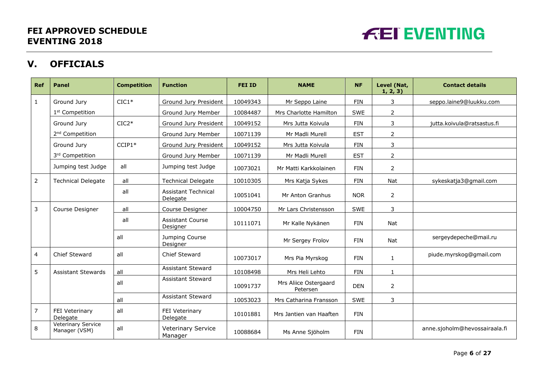

# **V. OFFICIALS**

<span id="page-5-0"></span>

| Ref            | <b>Panel</b>                        | <b>Competition</b> | <b>Function</b>                        | <b>FEI ID</b> | <b>NAME</b>                       | <b>NF</b>  | Level (Nat,<br>1, 2, 3) | <b>Contact details</b>        |
|----------------|-------------------------------------|--------------------|----------------------------------------|---------------|-----------------------------------|------------|-------------------------|-------------------------------|
| $\mathbf{1}$   | Ground Jury                         | $CIC1*$            | Ground Jury President                  | 10049343      | Mr Seppo Laine                    | <b>FIN</b> | 3                       | seppo.laine9@luukku.com       |
|                | 1 <sup>st</sup> Competition         |                    | Ground Jury Member                     | 10084487      | Mrs Charlotte Hamilton            | SWE        | $\overline{2}$          |                               |
|                | Ground Jury                         | $CIC2*$            | Ground Jury President                  | 10049152      | Mrs Jutta Koivula                 | <b>FIN</b> | 3                       | jutta.koivula@ratsastus.fi    |
|                | 2 <sup>nd</sup> Competition         |                    | Ground Jury Member                     | 10071139      | Mr Madli Murell                   | <b>EST</b> | $\overline{2}$          |                               |
|                | Ground Jury                         | $CCIP1*$           | Ground Jury President                  | 10049152      | Mrs Jutta Koivula                 | <b>FIN</b> | 3                       |                               |
|                | 3rd Competition                     |                    | Ground Jury Member                     | 10071139      | Mr Madli Murell                   | <b>EST</b> | $\overline{2}$          |                               |
|                | Jumping test Judge                  | all                | Jumping test Judge                     | 10073021      | Mr Matti Karkkolainen             | <b>FIN</b> | $\overline{2}$          |                               |
| $\overline{2}$ | <b>Technical Delegate</b>           | all                | <b>Technical Delegate</b>              | 10010305      | Mrs Katja Sykes                   | <b>FIN</b> | Nat                     | sykeskatja3@gmail.com         |
|                |                                     | all                | <b>Assistant Technical</b><br>Delegate | 10051041      | Mr Anton Granhus                  | <b>NOR</b> | 2                       |                               |
| 3              | Course Designer                     | all                | Course Designer                        | 10004750      | Mr Lars Christensson              | SWE        | 3                       |                               |
|                |                                     | all                | <b>Assistant Course</b><br>Designer    | 10111071      | Mr Kalle Nykänen                  | <b>FIN</b> | Nat                     |                               |
|                |                                     | all                | Jumping Course<br>Designer             |               | Mr Sergey Frolov                  | <b>FIN</b> | Nat                     | sergeydepeche@mail.ru         |
| 4              | Chief Steward                       | all                | Chief Steward                          | 10073017      | Mrs Pia Myrskog                   | <b>FIN</b> | $\mathbf{1}$            | piude.myrskog@gmail.com       |
| 5              | <b>Assistant Stewards</b>           | all                | <b>Assistant Steward</b>               | 10108498      | Mrs Heli Lehto                    | <b>FIN</b> | $\mathbf{1}$            |                               |
|                |                                     | all                | <b>Assistant Steward</b>               | 10091737      | Mrs Aliice Ostergaard<br>Petersen | <b>DEN</b> | $\overline{2}$          |                               |
|                |                                     | all                | <b>Assistant Steward</b>               | 10053023      | Mrs Catharina Fransson            | SWE        | 3                       |                               |
| $\overline{7}$ | FEI Veterinary<br>Delegate          | all                | FEI Veterinary<br>Delegate             | 10101881      | Mrs Jantien van Haaften           | <b>FIN</b> |                         |                               |
| 8              | Veterinary Service<br>Manager (VSM) | all                | <b>Veterinary Service</b><br>Manager   | 10088684      | Ms Anne Sjöholm                   | <b>FIN</b> |                         | anne.sjoholm@hevossairaala.fi |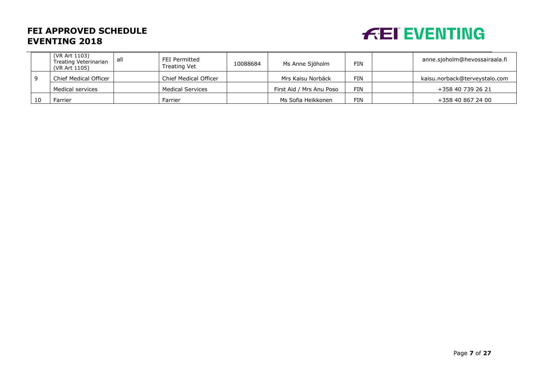# **FEI APPROVED SCHEDULE EVENTING 2018**



|  | (VR Art 1103)<br>Treating Veterinarian<br>(VR Art 1105) | all | FEI Permitted<br>Treating Vet | 10088684 | Ms Anne Sjöholm          | <b>FIN</b> | anne.sjoholm@hevossairaala.fi |
|--|---------------------------------------------------------|-----|-------------------------------|----------|--------------------------|------------|-------------------------------|
|  | Chief Medical Officer                                   |     | <b>Chief Medical Officer</b>  |          | Mrs Kaisu Norbäck        | <b>FIN</b> | kaisu.norback@terveystalo.com |
|  | Medical services                                        |     | <b>Medical Services</b>       |          | First Aid / Mrs Anu Poso | <b>FIN</b> | +358 40 739 26 21             |
|  | <sup>=</sup> arrier                                     |     | Farrier                       |          | Ms Sofia Heikkonen       | <b>FIN</b> | +358 40 867 24 00             |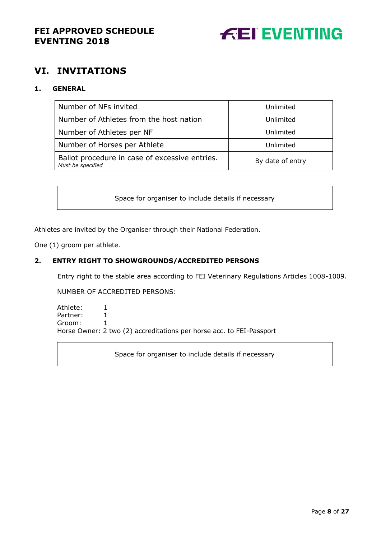

# <span id="page-7-0"></span>**VI. INVITATIONS**

### <span id="page-7-1"></span>**1. GENERAL**

| Number of NFs invited                                               | Unlimited        |
|---------------------------------------------------------------------|------------------|
| Number of Athletes from the host nation                             | Unlimited        |
| Number of Athletes per NF                                           | Unlimited        |
| Number of Horses per Athlete                                        | Unlimited        |
| Ballot procedure in case of excessive entries.<br>Must be specified | By date of entry |

Space for organiser to include details if necessary

Athletes are invited by the Organiser through their National Federation.

One (1) groom per athlete.

#### <span id="page-7-2"></span>**2. ENTRY RIGHT TO SHOWGROUNDS/ACCREDITED PERSONS**

Entry right to the stable area according to FEI Veterinary Regulations Articles 1008-1009.

NUMBER OF ACCREDITED PERSONS:

Athlete: 1 Partner: 1 Groom: 1 Horse Owner: 2 two (2) accreditations per horse acc. to FEI-Passport

Space for organiser to include details if necessary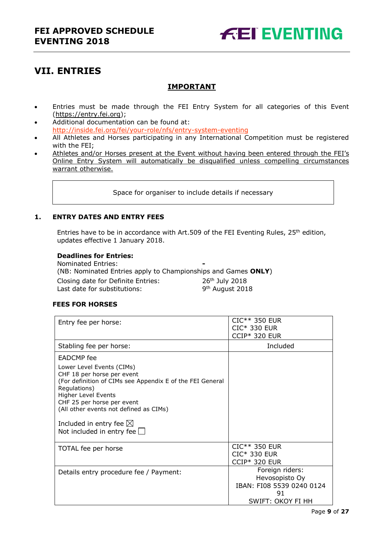

# <span id="page-8-0"></span>**VII. ENTRIES**

### **IMPORTANT**

- Entries must be made through the FEI Entry System for all categories of this Event [\(https://entry.fei.org\)](https://entry.fei.org/);
- Additional documentation can be found at: [http://inside.fei.org/fei/your-role/nfs/entry-system-eventing](http://www.fei.org/fei/your-role/nfs/entry-system-eventing)
- All Athletes and Horses participating in any International Competition must be registered with the FEI;
- Athletes and/or Horses present at the Event without having been entered through the FEI's Online Entry System will automatically be disqualified unless compelling circumstances warrant otherwise.

Space for organiser to include details if necessary

#### <span id="page-8-1"></span>**1. ENTRY DATES AND ENTRY FEES**

Entries have to be in accordance with Art.509 of the FEI Eventing Rules,  $25<sup>th</sup>$  edition, updates effective 1 January 2018.

#### **Deadlines for Entries:**

| Nominated Entries:                                            | $\sim$                      |
|---------------------------------------------------------------|-----------------------------|
| (NB: Nominated Entries apply to Championships and Games ONLY) |                             |
| Closing date for Definite Entries:                            | 26 <sup>th</sup> July 2018  |
| Last date for substitutions:                                  | 9 <sup>th</sup> August 2018 |

#### **FEES FOR HORSES**

| Entry fee per horse:                                                                                                                                                                                                                                                                                            | CIC** 350 EUR<br><b>CIC* 330 EUR</b><br>$CCIP*$ 320 EUR                                   |
|-----------------------------------------------------------------------------------------------------------------------------------------------------------------------------------------------------------------------------------------------------------------------------------------------------------------|-------------------------------------------------------------------------------------------|
| Stabling fee per horse:                                                                                                                                                                                                                                                                                         | Included                                                                                  |
| <b>EADCMP</b> fee                                                                                                                                                                                                                                                                                               |                                                                                           |
| Lower Level Events (CIMs)<br>CHF 18 per horse per event<br>(For definition of CIMs see Appendix E of the FEI General<br>Regulations)<br>Higher Level Events<br>CHF 25 per horse per event<br>(All other events not defined as CIMs)<br>Included in entry fee $\boxtimes$<br>Not included in entry fee $\square$ |                                                                                           |
| TOTAL fee per horse                                                                                                                                                                                                                                                                                             | CIC** 350 EUR<br>CIC* 330 EUR<br><b>CCIP* 320 EUR</b>                                     |
| Details entry procedure fee / Payment:                                                                                                                                                                                                                                                                          | Foreign riders:<br>Hevosopisto Oy<br>IBAN: FI08 5539 0240 0124<br>91<br>SWIFT: OKOY FI HH |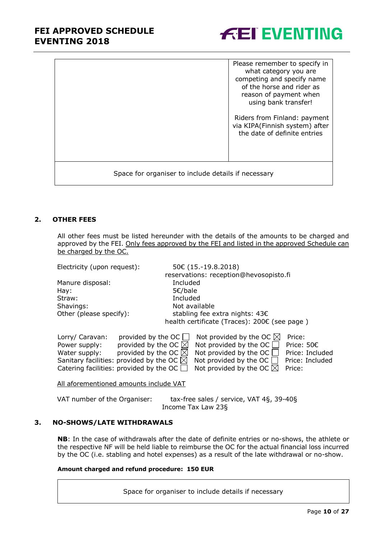## **FEI APPROVED SCHEDULE EVENTING 2018**



|                                                     | Please remember to specify in<br>what category you are<br>competing and specify name<br>of the horse and rider as<br>reason of payment when<br>using bank transfer!<br>Riders from Finland: payment<br>via KIPA(Finnish system) after<br>the date of definite entries |
|-----------------------------------------------------|-----------------------------------------------------------------------------------------------------------------------------------------------------------------------------------------------------------------------------------------------------------------------|
| Space for organiser to include details if necessary |                                                                                                                                                                                                                                                                       |

#### <span id="page-9-0"></span>**2. OTHER FEES**

All other fees must be listed hereunder with the details of the amounts to be charged and approved by the FEI. Only fees approved by the FEI and listed in the approved Schedule can be charged by the OC.

| Electricity (upon request):                               |                                |                    | 50€ (15.-19.8.2018)                          |  |                 |
|-----------------------------------------------------------|--------------------------------|--------------------|----------------------------------------------|--|-----------------|
|                                                           |                                |                    | reservations: reception@hevosopisto.fi       |  |                 |
| Manure disposal:                                          |                                | Included           |                                              |  |                 |
| Hay:                                                      |                                | $5 \epsilon$ /bale |                                              |  |                 |
| Straw:                                                    |                                | Included           |                                              |  |                 |
| Shavings:                                                 |                                | Not available      |                                              |  |                 |
| Other (please specify):<br>stabling fee extra nights: 43€ |                                |                    |                                              |  |                 |
|                                                           |                                |                    | health certificate (Traces): 200€ (see page) |  |                 |
| Lorry/ Caravan:                                           | provided by the OC $\lfloor$   |                    | Not provided by the OC $\boxtimes$           |  | Price:          |
| Power supply:                                             | provided by the OC $\boxtimes$ |                    | Not provided by the OC $\Box$                |  | Price: 50€      |
| Water supply:                                             | provided by the OC $\boxtimes$ |                    | Not provided by the OC                       |  | Price: Included |

Sanitary facilities: provided by the OC  $\boxtimes$  Not provided by the OC  $\Box$  Price: Included

All aforementioned amounts include VAT

| VAT number of the Organiser: | tax-free sales / service, VAT 4§, 39-40§ |
|------------------------------|------------------------------------------|
|                              | Income Tax Law 23§                       |

Catering facilities: provided by the OC  $\Box$  Not provided by the OC  $\boxtimes$  Price:

#### <span id="page-9-1"></span>**3. NO-SHOWS/LATE WITHDRAWALS**

**NB**: In the case of withdrawals after the date of definite entries or no-shows, the athlete or the respective NF will be held liable to reimburse the OC for the actual financial loss incurred by the OC (i.e. stabling and hotel expenses) as a result of the late withdrawal or no-show.

#### **Amount charged and refund procedure: 150 EUR**

Space for organiser to include details if necessary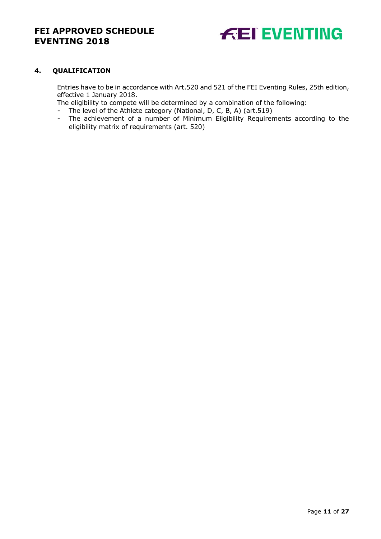

#### <span id="page-10-0"></span>**4. QUALIFICATION**

Entries have to be in accordance with Art.520 and 521 of the FEI Eventing Rules, 25th edition, effective 1 January 2018.

The eligibility to compete will be determined by a combination of the following:

- The level of the Athlete category (National, D, C, B, A) (art.519)<br>- The achievement of a number of Minimum Eligibility Requirer
- The achievement of a number of Minimum Eligibility Requirements according to the eligibility matrix of requirements (art. 520)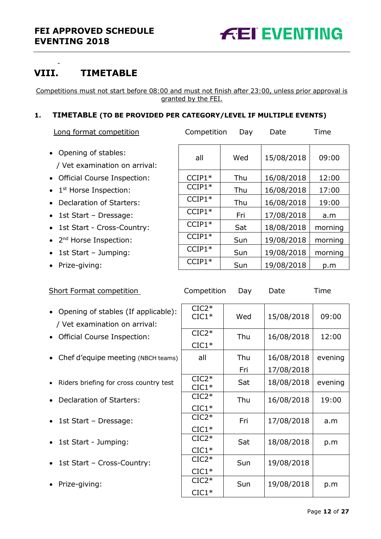

# <span id="page-11-0"></span>**VIII. TIMETABLE**

-

Competitions must not start before 08:00 and must not finish after 23:00, unless prior approval is granted by the FEI.

### <span id="page-11-1"></span>**1. TIMETABLE (TO BE PROVIDED PER CATEGORY/LEVEL IF MULTIPLE EVENTS)**

|  |  | Long format competition | Competition | Dav | Date | l ime |
|--|--|-------------------------|-------------|-----|------|-------|
|--|--|-------------------------|-------------|-----|------|-------|

- Opening of stables: / Vet examination on arrival:
- Official Course Inspection:
- 
- Declaration of Starters:
- $\bullet$  1st Start Dressage:
- 1st Start Cross-Country:
- 
- 1st Start Jumping:
- Prize-giving:

| • Opening of stables:                       | all      | Wed | 15/08/2018 | 09:00   |
|---------------------------------------------|----------|-----|------------|---------|
| / Vet examination on arrival:               |          |     |            |         |
| • Official Course Inspection:               | $CCIP1*$ | Thu | 16/08/2018 | 12:00   |
| $\bullet$ 1 <sup>st</sup> Horse Inspection: | $CCIP1*$ | Thu | 16/08/2018 | 17:00   |
| • Declaration of Starters:                  | $CCIP1*$ | Thu | 16/08/2018 | 19:00   |
| • 1st Start - Dressage:                     | $CCIP1*$ | Fri | 17/08/2018 | a.m     |
| • 1st Start - Cross-Country:                | $CCIP1*$ | Sat | 18/08/2018 | morning |
| • 2 <sup>nd</sup> Horse Inspection:         | $CCIP1*$ | Sun | 19/08/2018 | morning |
| • 1st Start - Jumping:                      | $CCIP1*$ | Sun | 19/08/2018 | morning |
| • Prize-giving:                             | $CCIP1*$ | Sun | 19/08/2018 | p.m     |
|                                             |          |     |            |         |

- Short Format competition Competition Day Date Time
- Opening of stables (If applicable): / Vet examination on arrival:
- Official Course Inspection:
- Chef d'equipe meeting (NBCH teams)
- Riders briefing for cross country test
- Declaration of Starters:
- $\bullet$  1st Start Dressage:
- 1st Start Jumping:
- $\bullet$  1st Start Cross-Country:
- Prize-giving:

| $CIC2*$<br>$CIC1*$ | Wed | 15/08/2018 | 09:00   |
|--------------------|-----|------------|---------|
| $CIC2*$            | Thu | 16/08/2018 | 12:00   |
| $CIC1*$            |     |            |         |
| all                | Thu | 16/08/2018 | evening |
|                    | Fri | 17/08/2018 |         |
| $CIC2*$<br>$CIC1*$ | Sat | 18/08/2018 | evening |
| $CIC2*$            | Thu | 16/08/2018 | 19:00   |
| $CIC1*$            |     |            |         |
| $CIC2*$            | Fri | 17/08/2018 | a.m     |
| $CIC1*$            |     |            |         |
| $CIC2*$            | Sat | 18/08/2018 | p.m     |
| $CIC1*$            |     |            |         |
| $CIC2*$            | Sun | 19/08/2018 |         |
| $CIC1*$            |     |            |         |
| $CIC2*$            | Sun | 19/08/2018 | p.m     |
| $CIC1*$            |     |            |         |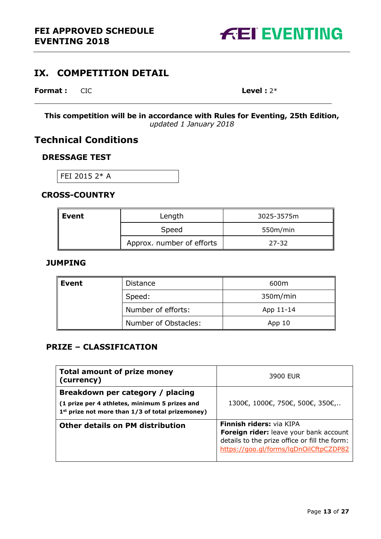

# <span id="page-12-0"></span>**IX. COMPETITION DETAIL**

### **Format :** CIC **Level :** 2\*

**This competition will be in accordance with Rules for Eventing, 25th Edition,**  *updated 1 January 2018*

# **Technical Conditions**

### **DRESSAGE TEST**

FEI 2015 2\* A

### **CROSS-COUNTRY**

| $\ $ Event | Length                    | 3025-3575m |
|------------|---------------------------|------------|
|            | Speed                     | 550m/min   |
|            | Approx. number of efforts | $27 - 32$  |

### **JUMPING**

| Event | Distance             | 600m      |
|-------|----------------------|-----------|
|       | Speed:               | 350m/min  |
|       | Number of efforts:   | App 11-14 |
|       | Number of Obstacles: | App 10    |

### **PRIZE – CLASSIFICATION**

| <b>Total amount of prize money</b><br>(currency)                                                                                                  | 3900 EUR                                                                                                                                                      |
|---------------------------------------------------------------------------------------------------------------------------------------------------|---------------------------------------------------------------------------------------------------------------------------------------------------------------|
| Breakdown per category / placing<br>(1 prize per 4 athletes, minimum 5 prizes and<br>1 <sup>st</sup> prize not more than 1/3 of total prizemoney) | 1300€, 1000€, 750€, 500€, 350€,                                                                                                                               |
| <b>Other details on PM distribution</b>                                                                                                           | Finnish riders: via KIPA<br>Foreign rider: leave your bank account<br>details to the prize office or fill the form:<br>https://goo.gl/forms/lgDnOilCftpCZDP82 |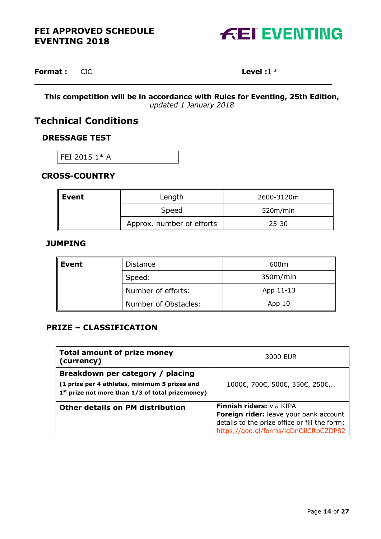

### **Format :** CIC **Level :1** \*

**This competition will be in accordance with Rules for Eventing, 25th Edition,**  *updated 1 January 2018*

# **Technical Conditions**

### **DRESSAGE TEST**

FEI 2015 1\* A

### **CROSS-COUNTRY**

| $\ $ Event | Length                    | 2600-3120m |
|------------|---------------------------|------------|
|            | Speed                     | 520m/min   |
|            | Approx. number of efforts | $25 - 30$  |

### **JUMPING**

 $\mathcal{L}$ 

| Event              | <b>Distance</b>      | 600m      |
|--------------------|----------------------|-----------|
|                    | Speed:               | 350m/min  |
| Number of efforts: |                      | App 11-13 |
|                    | Number of Obstacles: | App $10$  |

### **PRIZE – CLASSIFICATION**

| <b>Total amount of prize money</b><br>(currency)                                                                                                  | 3000 EUR                                                                                                                                                      |
|---------------------------------------------------------------------------------------------------------------------------------------------------|---------------------------------------------------------------------------------------------------------------------------------------------------------------|
| Breakdown per category / placing<br>(1 prize per 4 athletes, minimum 5 prizes and<br>1 <sup>st</sup> prize not more than 1/3 of total prizemoney) | 1000€, 700€, 500€, 350€, 250€,                                                                                                                                |
| <b>Other details on PM distribution</b>                                                                                                           | Finnish riders: via KIPA<br>Foreign rider: leave your bank account<br>details to the prize office or fill the form:<br>https://goo.gl/forms/lgDnOilCftpCZDP82 |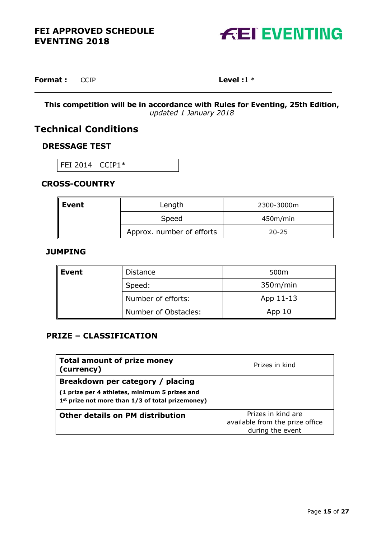

**Format :** CCIP **Level** :1 \*

**This competition will be in accordance with Rules for Eventing, 25th Edition,**  *updated 1 January 2018*

# **Technical Conditions**

### **DRESSAGE TEST**

FEI 2014 CCIP1\*

### **CROSS-COUNTRY**

| Event | Length                    | 2300-3000m |
|-------|---------------------------|------------|
|       | Speed                     | 450m/min   |
|       | Approx. number of efforts | $20 - 25$  |

### **JUMPING**

| Event | <b>Distance</b>      | 500m              |
|-------|----------------------|-------------------|
|       | Speed:               | 350m/min          |
|       | Number of efforts:   | App 11-13         |
|       | Number of Obstacles: | App <sub>10</sub> |

### **PRIZE – CLASSIFICATION**

| <b>Total amount of prize money</b><br>(currency)             | Prizes in kind                  |
|--------------------------------------------------------------|---------------------------------|
| Breakdown per category / placing                             |                                 |
| (1 prize per 4 athletes, minimum 5 prizes and                |                                 |
| 1 <sup>st</sup> prize not more than 1/3 of total prizemoney) |                                 |
| <b>Other details on PM distribution</b>                      | Prizes in kind are              |
|                                                              | available from the prize office |
|                                                              | during the event                |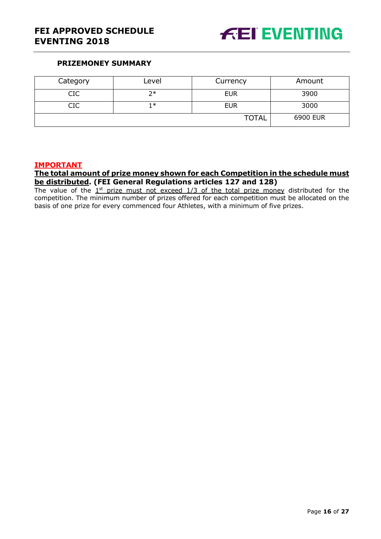

### **PRIZEMONEY SUMMARY**

| Category | Level | Currency     | Amount   |
|----------|-------|--------------|----------|
| CIC      | つ*    | <b>EUR</b>   | 3900     |
| CIC      | 1∗    | <b>EUR</b>   | 3000     |
|          |       | <b>TOTAL</b> | 6900 EUR |

### **IMPORTANT**

#### **The total amount of prize money shown for each Competition in the schedule must be distributed. (FEI General Regulations articles 127 and 128)**

The value of the  $1<sup>st</sup>$  prize must not exceed  $1/3$  of the total prize money distributed for the competition. The minimum number of prizes offered for each competition must be allocated on the basis of one prize for every commenced four Athletes, with a minimum of five prizes.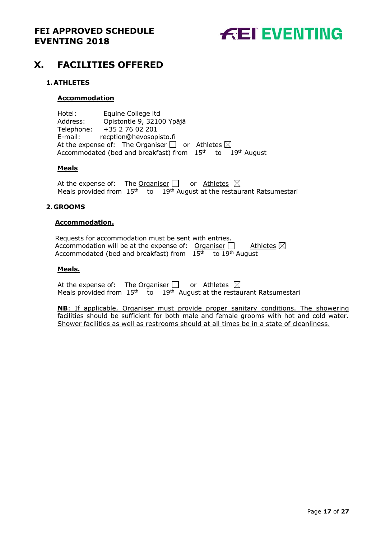

# <span id="page-16-0"></span>**X. FACILITIES OFFERED**

### <span id="page-16-1"></span>**1.ATHLETES**

#### **Accommodation**

Hotel: Equine College ltd Address: Opistontie 9, 32100 Ypäjä Telephone: +35 2 76 02 201 E-mail: recption@hevosopisto.fi At the expense of: The Organiser  $\Box$  or Athletes  $\boxtimes$ Accommodated (bed and breakfast) from  $15<sup>th</sup>$  to  $19<sup>th</sup>$  August

#### **Meals**

At the expense of: The Organiser  $\Box$  or Athletes  $\boxtimes$ Meals provided from  $15<sup>th</sup>$  to  $19<sup>th</sup>$  August at the restaurant Ratsumestari

#### <span id="page-16-2"></span>**2. GROOMS**

#### **Accommodation.**

Requests for accommodation must be sent with entries. Accommodation will be at the expense of: Organiser  $\Box$  Athletes  $\boxtimes$ Accommodated (bed and breakfast) from  $15<sup>th</sup>$  to 19<sup>th</sup> August

#### **Meals.**

At the expense of: The Organiser  $\Box$  or Athletes  $\boxtimes$ Meals provided from  $15<sup>th</sup>$  to  $19<sup>th</sup>$  August at the restaurant Ratsumestari

**NB**: If applicable, Organiser must provide proper sanitary conditions. The showering facilities should be sufficient for both male and female grooms with hot and cold water. Shower facilities as well as restrooms should at all times be in a state of cleanliness.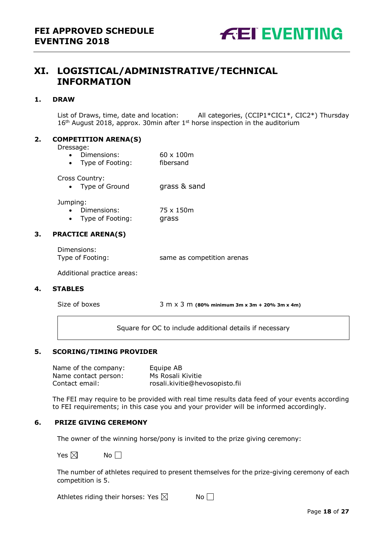

# <span id="page-17-0"></span>**XI. LOGISTICAL/ADMINISTRATIVE/TECHNICAL INFORMATION**

#### <span id="page-17-1"></span>**1. DRAW**

List of Draws, time, date and location: All categories, (CCIP1\*CIC1\*, CIC2\*) Thursday  $16<sup>th</sup>$  August 2018, approx. 30 min after  $1<sup>st</sup>$  horse inspection in the auditorium

#### <span id="page-17-2"></span>**2. COMPETITION ARENA(S)**

Dressage:

- Dimensions: 60 x 100m
- Type of Footing: fibersand

Cross Country:

• Type of Ground grass & sand

Jumping:

- Dimensions: 75 x 150m
- Type of Footing: grass

#### <span id="page-17-3"></span>**3. PRACTICE ARENA(S)**

Dimensions:

Type of Footing: same as competition arenas

Additional practice areas:

#### <span id="page-17-4"></span>**4. STABLES**

Size of boxes 3 m x 3 m **(80% minimum 3m x 3m <sup>+</sup> 20% 3m x 4m)**

<span id="page-17-5"></span>Square for OC to include additional details if necessary

#### **5. SCORING/TIMING PROVIDER**

Name of the company: Equipe AB Name contact person: Ms Rosali Kivitie Contact email: rosali.kivitie@hevosopisto.fii

The FEI may require to be provided with real time results data feed of your events according to FEI requirements; in this case you and your provider will be informed accordingly.

#### **6. PRIZE GIVING CEREMONY**

The owner of the winning horse/pony is invited to the prize giving ceremony:

Yes  $\boxtimes$  No  $\Box$ 

The number of athletes required to present themselves for the prize-giving ceremony of each competition is 5.

Athletes riding their horses: Yes  $\boxtimes$  No  $\Box$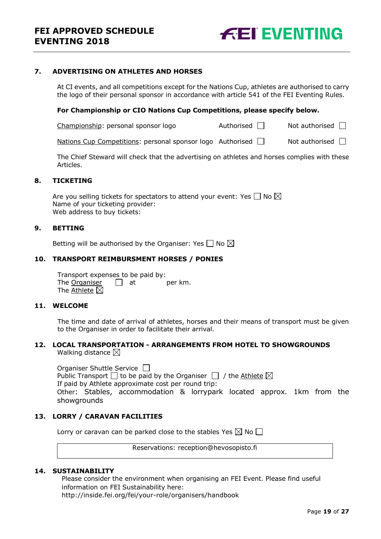

#### <span id="page-18-0"></span>**7. ADVERTISING ON ATHLETES AND HORSES**

At CI events, and all competitions except for the Nations Cup, athletes are authorised to carry the logo of their personal sponsor in accordance with article 541 of the FEI Eventing Rules.

#### **For Championship or CIO Nations Cup Competitions, please specify below.**

Championship: personal sponsor logo  $\Box$  Not authorised  $\Box$ 

Nations Cup Competitions: personal sponsor logo Authorised  $\Box$  Not authorised  $\Box$ 

The Chief Steward will check that the advertising on athletes and horses complies with these Articles.

#### <span id="page-18-1"></span>**8. TICKETING**

Are you selling tickets for spectators to attend your event: Yes  $\Box$  No  $\boxtimes$ Name of your ticketing provider: Web address to buy tickets:

#### <span id="page-18-2"></span>**9. BETTING**

Betting will be authorised by the Organiser: Yes  $\Box$  No  $\boxtimes$ 

#### <span id="page-18-3"></span>**10. TRANSPORT REIMBURSMENT HORSES / PONIES**

Transport expenses to be paid by: The  $O$ rganiser  $\Box$  at per km. The  $\Delta$ thlete  $\boxtimes$ 

### <span id="page-18-4"></span>**11. WELCOME**

The time and date of arrival of athletes, horses and their means of transport must be given to the Organiser in order to facilitate their arrival.

#### <span id="page-18-5"></span>**12. LOCAL TRANSPORTATION - ARRANGEMENTS FROM HOTEL TO SHOWGROUNDS** Walking distance  $\boxtimes$

Organiser Shuttle Service  $\Box$ Public Transport  $\Box$  to be paid by the Organiser  $\Box$  / the Athlete  $\boxtimes$ If paid by Athlete approximate cost per round trip: Other: Stables, accommodation & lorrypark located approx. 1km from the showgrounds

#### <span id="page-18-6"></span>**13. LORRY / CARAVAN FACILITIES**

Lorry or caravan can be parked close to the stables Yes  $\boxtimes$  No  $\Box$ 

Reservations: reception@hevosopisto.fi

#### **14. SUSTAINABILITY**

Please consider the environment when organising an FEI Event. Please find useful information on FEI Sustainability here: http://inside.fei.org/fei/your-role/organisers/handbook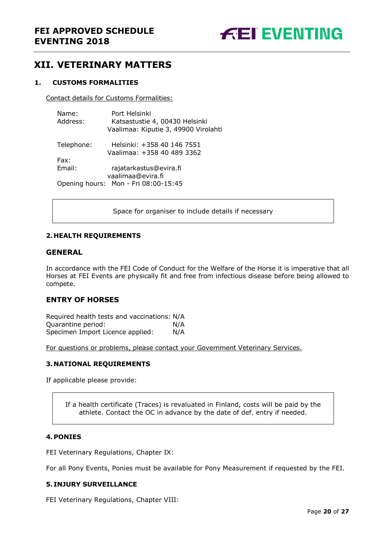

# <span id="page-19-0"></span>**XII. VETERINARY MATTERS**

#### <span id="page-19-1"></span>**1. CUSTOMS FORMALITIES**

Contact details for Customs Formalities:

| Name:<br>Address: | Port Helsinki<br>Katsastustie 4, 00430 Helsinki<br>Vaalimaa: Kiputie 3, 49900 Virolahti |
|-------------------|-----------------------------------------------------------------------------------------|
| Telephone:        | Helsinki: +358 40 146 7551<br>Vaalimaa: +358 40 489 3362                                |
| Fax:              |                                                                                         |
| Email:            | rajatarkastus@evira.fi                                                                  |
|                   | vaalimaa@evira.fi<br>Opening hours: Mon - Fri 08:00-15:45                               |

Space for organiser to include details if necessary

#### <span id="page-19-2"></span>**2. HEALTH REQUIREMENTS**

#### **GENERAL**

In accordance with the FEI Code of Conduct for the Welfare of the Horse it is imperative that all Horses at FEI Events are physically fit and free from infectious disease before being allowed to compete.

#### **ENTRY OF HORSES**

Required health tests and vaccinations: N/A Quarantine period: N/A Specimen Import Licence applied: N/A

For questions or problems, please contact your Government Veterinary Services.

#### <span id="page-19-3"></span>**3. NATIONAL REQUIREMENTS**

If applicable please provide:

If a health certificate (Traces) is revaluated in Finland, costs will be paid by the athlete. Contact the OC in advance by the date of def. entry if needed.

#### <span id="page-19-4"></span>**4.PONIES**

FEI Veterinary Regulations, Chapter IX:

For all Pony Events, Ponies must be available for Pony Measurement if requested by the FEI.

#### <span id="page-19-5"></span>**5. INJURY SURVEILLANCE**

FEI Veterinary Regulations, Chapter VIII: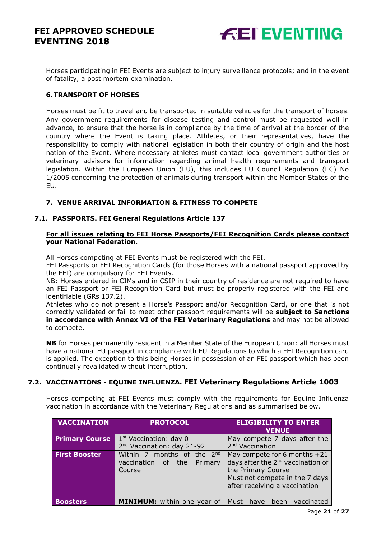Horses participating in FEI Events are subject to injury surveillance protocols; and in the event of fatality, a post mortem examination.

#### <span id="page-20-0"></span>**6.TRANSPORT OF HORSES**

Horses must be fit to travel and be transported in suitable vehicles for the transport of horses. Any government requirements for disease testing and control must be requested well in advance, to ensure that the horse is in compliance by the time of arrival at the border of the country where the Event is taking place. Athletes, or their representatives, have the responsibility to comply with national legislation in both their country of origin and the host nation of the Event. Where necessary athletes must contact local government authorities or veterinary advisors for information regarding animal health requirements and transport legislation. Within the European Union (EU), this includes EU Council Regulation (EC) No 1/2005 concerning the protection of animals during transport within the Member States of the EU.

### <span id="page-20-1"></span>**7. VENUE ARRIVAL INFORMATION & FITNESS TO COMPETE**

#### <span id="page-20-2"></span>**7.1. PASSPORTS. FEI General Regulations Article 137**

#### **For all issues relating to FEI Horse Passports/FEI Recognition Cards please contact your National Federation.**

All Horses competing at FEI Events must be registered with the FEI.

FEI Passports or FEI Recognition Cards (for those Horses with a national passport approved by the FEI) are compulsory for FEI Events.

NB: Horses entered in CIMs and in CSIP in their country of residence are not required to have an FEI Passport or FEI Recognition Card but must be properly registered with the FEI and identifiable (GRs 137.2).

Athletes who do not present a Horse's Passport and/or Recognition Card, or one that is not correctly validated or fail to meet other passport requirements will be **subject to Sanctions in accordance with Annex VI of the FEI Veterinary Regulations** and may not be allowed to compete.

**NB** for Horses permanently resident in a Member State of the European Union: all Horses must have a national EU passport in compliance with EU Regulations to which a FEI Recognition card is applied. The exception to this being Horses in possession of an FEI passport which has been continually revalidated without interruption.

### <span id="page-20-3"></span>**7.2. VACCINATIONS - EQUINE INFLUENZA. FEI Veterinary Regulations Article 1003**

Horses competing at FEI Events must comply with the requirements for Equine Influenza vaccination in accordance with the Veterinary Regulations and as summarised below.

| <b>VACCINATION</b>    | <b>PROTOCOL</b>                                                              | <b>ELIGIBILITY TO ENTER</b><br><b>VENUE</b>                                                                                                                              |
|-----------------------|------------------------------------------------------------------------------|--------------------------------------------------------------------------------------------------------------------------------------------------------------------------|
| <b>Primary Course</b> | 1 <sup>st</sup> Vaccination: day 0<br>2 <sup>nd</sup> Vaccination: day 21-92 | May compete 7 days after the<br>2 <sup>nd</sup> Vaccination                                                                                                              |
| <b>First Booster</b>  | Within 7 months of the $2^{nd}$<br>vaccination of the<br>Primary<br>Course   | May compete for 6 months $+21$<br>days after the 2 <sup>nd</sup> vaccination of<br>the Primary Course<br>Must not compete in the 7 days<br>after receiving a vaccination |
| <b>Boosters</b>       | <b>MINIMUM:</b> within one year of                                           | Must<br>vaccinated<br>have<br>been                                                                                                                                       |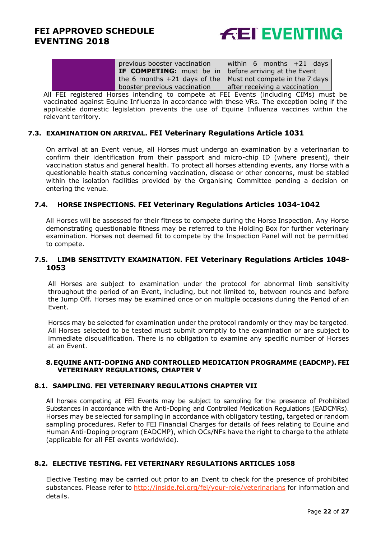

|                                                                                                                                                                                                                                   | previous booster vaccination                                         | within 6 months +21 days      |
|-----------------------------------------------------------------------------------------------------------------------------------------------------------------------------------------------------------------------------------|----------------------------------------------------------------------|-------------------------------|
|                                                                                                                                                                                                                                   | <b>IF COMPETING:</b> must be in $\vert$ before arriving at the Event |                               |
|                                                                                                                                                                                                                                   | the 6 months $+21$ days of the   Must not compete in the 7 days      |                               |
|                                                                                                                                                                                                                                   | booster previous vaccination                                         | after receiving a vaccination |
| $\mathbf{r}$ , and the contract of the contract of the contract of the contract of the contract of the contract of the contract of the contract of the contract of the contract of the contract of the contract of the contract o |                                                                      |                               |

All FEI registered Horses intending to compete at FEI Events (including CIMs) must be vaccinated against Equine Influenza in accordance with these VRs. The exception being if the applicable domestic legislation prevents the use of Equine Influenza vaccines within the relevant territory.

#### <span id="page-21-0"></span>**7.3. EXAMINATION ON ARRIVAL. FEI Veterinary Regulations Article 1031**

On arrival at an Event venue, all Horses must undergo an examination by a veterinarian to confirm their identification from their passport and micro-chip ID (where present), their vaccination status and general health. To protect all horses attending events, any Horse with a questionable health status concerning vaccination, disease or other concerns, must be stabled within the isolation facilities provided by the Organising Committee pending a decision on entering the venue.

#### <span id="page-21-1"></span>**7.4. HORSE INSPECTIONS. FEI Veterinary Regulations Articles 1034-1042**

All Horses will be assessed for their fitness to compete during the Horse Inspection. Any Horse demonstrating questionable fitness may be referred to the Holding Box for further veterinary examination. Horses not deemed fit to compete by the Inspection Panel will not be permitted to compete.

#### <span id="page-21-2"></span>**7.5. LIMB SENSITIVITY EXAMINATION. FEI Veterinary Regulations Articles 1048- 1053**

All Horses are subject to examination under the protocol for abnormal limb sensitivity throughout the period of an Event, including, but not limited to, between rounds and before the Jump Off. Horses may be examined once or on multiple occasions during the Period of an Event.

Horses may be selected for examination under the protocol randomly or they may be targeted. All Horses selected to be tested must submit promptly to the examination or are subject to immediate disqualification. There is no obligation to examine any specific number of Horses at an Event.

#### <span id="page-21-3"></span>**8.EQUINE ANTI-DOPING AND CONTROLLED MEDICATION PROGRAMME (EADCMP). FEI VETERINARY REGULATIONS, CHAPTER V**

#### <span id="page-21-4"></span>**8.1. SAMPLING. FEI VETERINARY REGULATIONS CHAPTER VII**

All horses competing at FEI Events may be subject to sampling for the presence of Prohibited Substances in accordance with the Anti-Doping and Controlled Medication Regulations (EADCMRs). Horses may be selected for sampling in accordance with obligatory testing, targeted or random sampling procedures. Refer to FEI Financial Charges for details of fees relating to Equine and Human Anti-Doping program (EADCMP), which OCs/NFs have the right to charge to the athlete (applicable for all FEI events worldwide).

### <span id="page-21-5"></span>**8.2. ELECTIVE TESTING. FEI VETERINARY REGULATIONS ARTICLES 1058**

Elective Testing may be carried out prior to an Event to check for the presence of prohibited substances. Please refer to<http://inside.fei.org/fei/your-role/veterinarians> for information and details.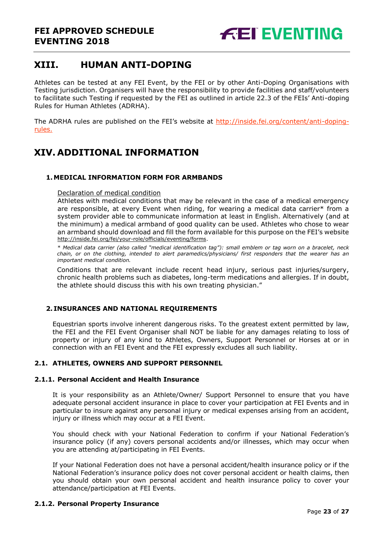# <span id="page-22-0"></span>**XIII. HUMAN ANTI-DOPING**

Athletes can be tested at any FEI Event, by the FEI or by other Anti-Doping Organisations with Testing jurisdiction. Organisers will have the responsibility to provide facilities and staff/volunteers to facilitate such Testing if requested by the FEI as outlined in article 22.3 of the FEIs' Anti-doping Rules for Human Athletes (ADRHA).

The ADRHA rules are published on the FEI's website at [http://inside.fei.org/content/anti-doping](http://inside.fei.org/content/anti-doping-rules)[rules.](http://inside.fei.org/content/anti-doping-rules)

# <span id="page-22-1"></span>**XIV. ADDITIONAL INFORMATION**

### <span id="page-22-2"></span>**1.MEDICAL INFORMATION FORM FOR ARMBANDS**

Declaration of medical condition

Athletes with medical conditions that may be relevant in the case of a medical emergency are responsible, at every Event when riding, for wearing a medical data carrier\* from a system provider able to communicate information at least in English. Alternatively (and at the minimum) a medical armband of good quality can be used. Athletes who chose to wear an armband should download and fill the form available for this purpose on the FEI's website [http://inside.fei.org/fei/your-role/officials/eventing/forms.](http://www.fei.org/fei/your-role/officials/eventing/forms)

*\* Medical data carrier (also called "medical identification tag"): small emblem or tag worn on a bracelet, neck chain, or on the clothing, intended to alert paramedics/physicians/ first responders that the wearer has an important medical condition.*

Conditions that are relevant include recent head injury, serious past injuries/surgery, chronic health problems such as diabetes, long-term medications and allergies. If in doubt, the athlete should discuss this with his own treating physician."

#### <span id="page-22-3"></span>**2. INSURANCES AND NATIONAL REQUIREMENTS**

Equestrian sports involve inherent dangerous risks. To the greatest extent permitted by law, the FEI and the FEI Event Organiser shall NOT be liable for any damages relating to loss of property or injury of any kind to Athletes, Owners, Support Personnel or Horses at or in connection with an FEI Event and the FEI expressly excludes all such liability.

#### <span id="page-22-4"></span>**2.1. ATHLETES, OWNERS AND SUPPORT PERSONNEL**

#### **2.1.1. Personal Accident and Health Insurance**

It is your responsibility as an Athlete/Owner/ Support Personnel to ensure that you have adequate personal accident insurance in place to cover your participation at FEI Events and in particular to insure against any personal injury or medical expenses arising from an accident, injury or illness which may occur at a FEI Event.

You should check with your National Federation to confirm if your National Federation's insurance policy (if any) covers personal accidents and/or illnesses, which may occur when you are attending at/participating in FEI Events.

If your National Federation does not have a personal accident/health insurance policy or if the National Federation's insurance policy does not cover personal accident or health claims, then you should obtain your own personal accident and health insurance policy to cover your attendance/participation at FEI Events.

#### **2.1.2. Personal Property Insurance**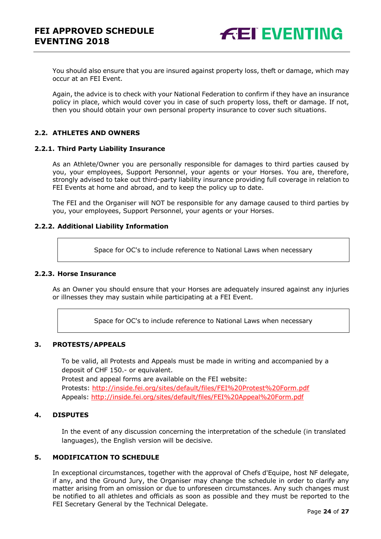

You should also ensure that you are insured against property loss, theft or damage, which may occur at an FEI Event.

Again, the advice is to check with your National Federation to confirm if they have an insurance policy in place, which would cover you in case of such property loss, theft or damage. If not, then you should obtain your own personal property insurance to cover such situations.

#### <span id="page-23-0"></span>**2.2. ATHLETES AND OWNERS**

#### **2.2.1. Third Party Liability Insurance**

As an Athlete/Owner you are personally responsible for damages to third parties caused by you, your employees, Support Personnel, your agents or your Horses. You are, therefore, strongly advised to take out third-party liability insurance providing full coverage in relation to FEI Events at home and abroad, and to keep the policy up to date.

The FEI and the Organiser will NOT be responsible for any damage caused to third parties by you, your employees, Support Personnel, your agents or your Horses.

#### **2.2.2. Additional Liability Information**

Space for OC's to include reference to National Laws when necessary

#### **2.2.3. Horse Insurance**

As an Owner you should ensure that your Horses are adequately insured against any injuries or illnesses they may sustain while participating at a FEI Event.

Space for OC's to include reference to National Laws when necessary

### <span id="page-23-1"></span>**3. PROTESTS/APPEALS**

To be valid, all Protests and Appeals must be made in writing and accompanied by a deposit of CHF 150.- or equivalent. Protest and appeal forms are available on the FEI website:

Protests:<http://inside.fei.org/sites/default/files/FEI%20Protest%20Form.pdf> Appeals:<http://inside.fei.org/sites/default/files/FEI%20Appeal%20Form.pdf>

#### <span id="page-23-2"></span>**4. DISPUTES**

In the event of any discussion concerning the interpretation of the schedule (in translated languages), the English version will be decisive.

#### <span id="page-23-3"></span>**5. MODIFICATION TO SCHEDULE**

In exceptional circumstances, together with the approval of Chefs d'Equipe, host NF delegate, if any, and the Ground Jury, the Organiser may change the schedule in order to clarify any matter arising from an omission or due to unforeseen circumstances. Any such changes must be notified to all athletes and officials as soon as possible and they must be reported to the FEI Secretary General by the Technical Delegate.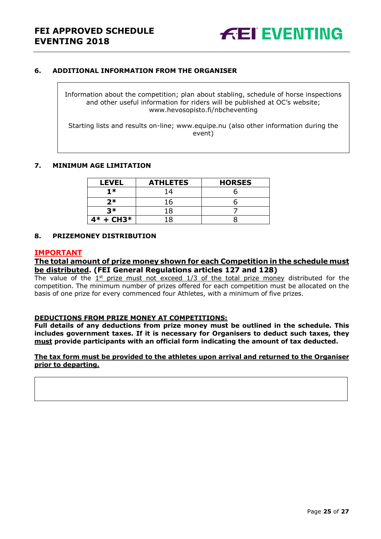

#### <span id="page-24-0"></span>**6. ADDITIONAL INFORMATION FROM THE ORGANISER**

Information about the competition; plan about stabling, schedule of horse inspections and other useful information for riders will be published at OC's website; www.hevosopisto.fi/nbcheventing

Starting lists and results on-line; www.equipe.nu (also other information during the event)

#### <span id="page-24-1"></span>**7. MINIMUM AGE LIMITATION**

| <b>LEVEL</b> | <b>ATHLETES</b> | <b>HORSES</b> |
|--------------|-----------------|---------------|
| $1*$         | 14              |               |
| $2*$         | 16              |               |
| マ*           |                 |               |
| $4* + CH3*$  |                 |               |

#### <span id="page-24-2"></span>**8. PRIZEMONEY DISTRIBUTION**

#### **IMPORTANT**

**The total amount of prize money shown for each Competition in the schedule must be distributed. (FEI General Regulations articles 127 and 128)**

The value of the  $1<sup>st</sup>$  prize must not exceed  $1/3$  of the total prize money distributed for the competition. The minimum number of prizes offered for each competition must be allocated on the basis of one prize for every commenced four Athletes, with a minimum of five prizes.

#### **DEDUCTIONS FROM PRIZE MONEY AT COMPETITIONS:**

**Full details of any deductions from prize money must be outlined in the schedule. This includes government taxes. If it is necessary for Organisers to deduct such taxes, they must provide participants with an official form indicating the amount of tax deducted.** 

#### **The tax form must be provided to the athletes upon arrival and returned to the Organiser prior to departing.**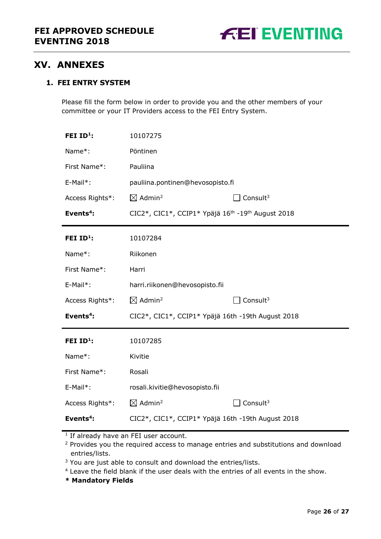

# <span id="page-25-0"></span>**XV. ANNEXES**

### **1. FEI ENTRY SYSTEM**

Please fill the form below in order to provide you and the other members of your committee or your IT Providers access to the FEI Entry System.

| FEI $ID1$ :           | 10107275                                                                  |                      |
|-----------------------|---------------------------------------------------------------------------|----------------------|
| Name*:                | Pöntinen                                                                  |                      |
| First Name*:          | Pauliina                                                                  |                      |
| E-Mail*:              | pauliina.pontinen@hevosopisto.fi                                          |                      |
| Access Rights*:       | $\boxtimes$ Admin <sup>2</sup>                                            | Consult <sup>3</sup> |
| Events <sup>4</sup> : | CIC2*, CIC1*, CCIP1* Ypäjä 16 <sup>th</sup> -19 <sup>th</sup> August 2018 |                      |
| FEI ID <sup>1</sup> : | 10107284                                                                  |                      |
| Name*:                | Riikonen                                                                  |                      |
| First Name*:          | Harri                                                                     |                      |
| E-Mail*:              | harri.riikonen@hevosopisto.fii                                            |                      |
| Access Rights*:       | $\boxtimes$ Admin <sup>2</sup>                                            | Consult $3$          |
| Events <sup>4</sup> : | CIC2*, CIC1*, CCIP1* Ypäjä 16th -19th August 2018                         |                      |
| FEI $ID^1$ :          | 10107285                                                                  |                      |
| Name*:                | Kivitie                                                                   |                      |
| First Name*:          | Rosali                                                                    |                      |
| E-Mail*:              | rosali.kivitie@hevosopisto.fii                                            |                      |
| Access Rights*:       | $\boxtimes$ Admin <sup>2</sup>                                            | Consult $3$          |
| Events <sup>4</sup> : | CIC2*, CIC1*, CCIP1* Ypäjä 16th -19th August 2018                         |                      |

<sup>1</sup> If already have an FEI user account.

<sup>2</sup> Provides you the required access to manage entries and substitutions and download entries/lists.

<sup>3</sup> You are just able to consult and download the entries/lists.

<sup>4</sup> Leave the field blank if the user deals with the entries of all events in the show.

**\* Mandatory Fields**